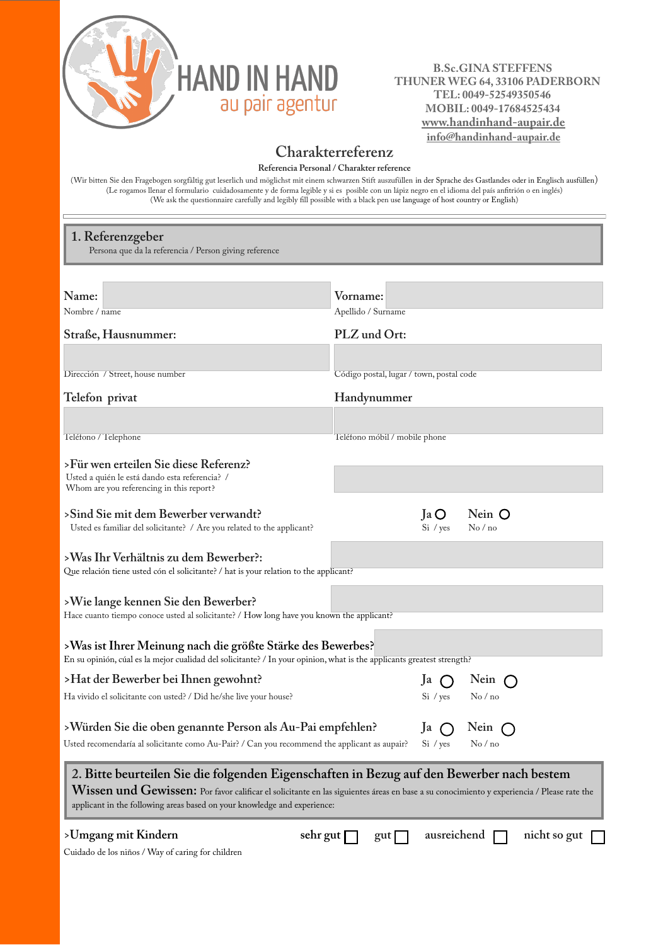

## **B.Sc.GINA STEFFENS** *B.Sc.GINA STEFFENS*<br>THUNER WEG 64, 33106 PADERBORN  **TEL: 0049-52549350546 MOBIL: 0049-17684525434 www.handinhand-aupair.de info@handinhand-aupair.de**

## **Charakterreferenz**

**Referencia Personal / Charakter reference**

(Wir bitten Sie den Fragebogen sorgfältig gut leserlich und möglichst mit einem schwarzen Stift auszufüllen in der Sprache des Gastlandes oder in Englisch ausfüllen) (Le rogamos llenar el formulario cuidadosamente y de forma legible y si es posible con un lápiz negro en el idioma del país anfitrión o en inglés) (We ask the questionnaire carefully and legibly fill possible with a black pen use language of host country or English)

## **1. Referenzgeber**

Persona que da la referencia / Person giving reference

| Name:<br>Nombre / name                                                                                                                                                                                                                                                                                                | Vorname:<br>Apellido / Surname           |                      |                              |              |  |  |
|-----------------------------------------------------------------------------------------------------------------------------------------------------------------------------------------------------------------------------------------------------------------------------------------------------------------------|------------------------------------------|----------------------|------------------------------|--------------|--|--|
| Straße, Hausnummer:                                                                                                                                                                                                                                                                                                   | PLZ und Ort:                             |                      |                              |              |  |  |
|                                                                                                                                                                                                                                                                                                                       |                                          |                      |                              |              |  |  |
| Dirección / Street, house number                                                                                                                                                                                                                                                                                      | Código postal, lugar / town, postal code |                      |                              |              |  |  |
| Telefon privat                                                                                                                                                                                                                                                                                                        | Handynummer                              |                      |                              |              |  |  |
|                                                                                                                                                                                                                                                                                                                       |                                          |                      |                              |              |  |  |
| Teléfono / Telephone                                                                                                                                                                                                                                                                                                  | Teléfono móbil / mobile phone            |                      |                              |              |  |  |
| >Für wen erteilen Sie diese Referenz?<br>Usted a quién le está dando esta referencia? /                                                                                                                                                                                                                               |                                          |                      |                              |              |  |  |
| Whom are you referencing in this report?                                                                                                                                                                                                                                                                              |                                          |                      |                              |              |  |  |
| >Sind Sie mit dem Bewerber verwandt?<br>Usted es familiar del solicitante? / Are you related to the applicant?                                                                                                                                                                                                        |                                          | Ja O<br>Si / yes     | Nein O<br>$\mathrm{No}$ / no |              |  |  |
| >Was Ihr Verhältnis zu dem Bewerber?:<br>Que relación tiene usted cón el solicitante? / hat is your relation to the applicant?                                                                                                                                                                                        |                                          |                      |                              |              |  |  |
| >Wie lange kennen Sie den Bewerber?<br>Hace cuanto tiempo conoce usted al solicitante? / How long have you known the applicant?                                                                                                                                                                                       |                                          |                      |                              |              |  |  |
| >Was ist Ihrer Meinung nach die größte Stärke des Bewerbes?<br>En su opinión, cúal es la mejor cualidad del solicitante? / In your opinion, what is the applicants greatest strength?                                                                                                                                 |                                          |                      |                              |              |  |  |
| >Hat der Bewerber bei Ihnen gewohnt?                                                                                                                                                                                                                                                                                  |                                          | Ja<br>$\blacksquare$ | Nein $\bigcap$               |              |  |  |
| Ha vivido el solicitante con usted? / Did he/she live your house?                                                                                                                                                                                                                                                     |                                          | Si / yes             | No/no                        |              |  |  |
| >Würden Sie die oben genannte Person als Au-Pai empfehlen?                                                                                                                                                                                                                                                            |                                          | Ja                   | Nein $\bigcap$               |              |  |  |
| Usted recomendaría al solicitante como Au-Pair? / Can you recommend the applicant as aupair?                                                                                                                                                                                                                          |                                          | Si / yes             | No/no                        |              |  |  |
| 2. Bitte beurteilen Sie die folgenden Eigenschaften in Bezug auf den Bewerber nach bestem<br>$W$ issen und Gewissen: Por favor calificar el solicitante en las siguientes áreas en base a su conocimiento y experiencia / Please rate the<br>applicant in the following areas based on your knowledge and experience: |                                          |                      |                              |              |  |  |
| >Umgang mit Kindern<br>sehr gut  <br>Cuidado de los niños / Way of caring for children                                                                                                                                                                                                                                | $gut$                                    |                      | ausreichend $\Box$           | nicht so gut |  |  |